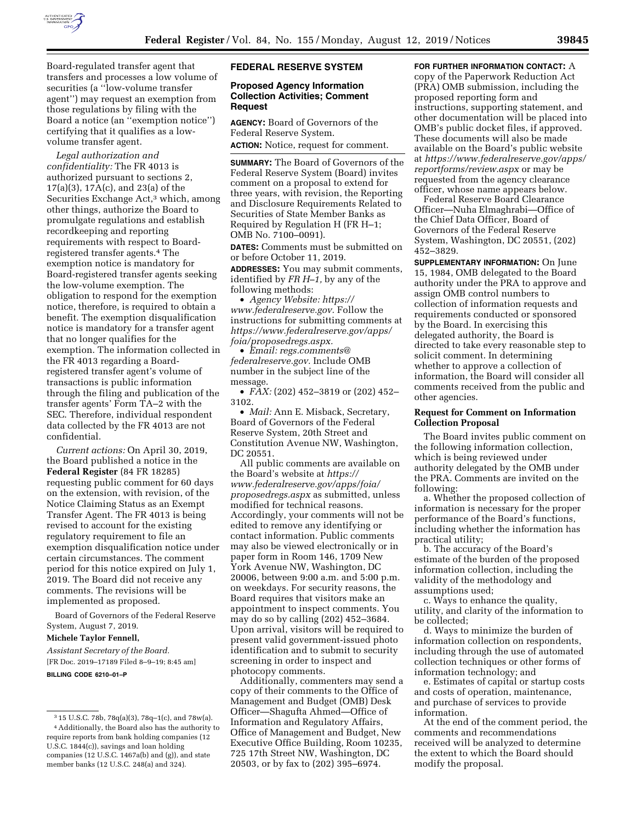

Board-regulated transfer agent that transfers and processes a low volume of securities (a ''low-volume transfer agent'') may request an exemption from those regulations by filing with the Board a notice (an ''exemption notice'') certifying that it qualifies as a lowvolume transfer agent.

*Legal authorization and confidentiality:* The FR 4013 is authorized pursuant to sections 2, 17(a)(3), 17A(c), and 23(a) of the Securities Exchange Act,3 which, among other things, authorize the Board to promulgate regulations and establish recordkeeping and reporting requirements with respect to Boardregistered transfer agents.4 The exemption notice is mandatory for Board-registered transfer agents seeking the low-volume exemption. The obligation to respond for the exemption notice, therefore, is required to obtain a benefit. The exemption disqualification notice is mandatory for a transfer agent that no longer qualifies for the exemption. The information collected in the FR 4013 regarding a Boardregistered transfer agent's volume of transactions is public information through the filing and publication of the transfer agents' Form TA–2 with the SEC. Therefore, individual respondent data collected by the FR 4013 are not confidential.

*Current actions:* On April 30, 2019, the Board published a notice in the **Federal Register** (84 FR 18285) requesting public comment for 60 days on the extension, with revision, of the Notice Claiming Status as an Exempt Transfer Agent. The FR 4013 is being revised to account for the existing regulatory requirement to file an exemption disqualification notice under certain circumstances. The comment period for this notice expired on July 1, 2019. The Board did not receive any comments. The revisions will be implemented as proposed.

Board of Governors of the Federal Reserve System, August 7, 2019.

**Michele Taylor Fennell,** 

*Assistant Secretary of the Board.* 

[FR Doc. 2019–17189 Filed 8–9–19; 8:45 am]

**BILLING CODE 6210–01–P** 

#### **FEDERAL RESERVE SYSTEM**

#### **Proposed Agency Information Collection Activities; Comment Request**

**AGENCY:** Board of Governors of the Federal Reserve System. **ACTION:** Notice, request for comment.

**SUMMARY:** The Board of Governors of the Federal Reserve System (Board) invites comment on a proposal to extend for three years, with revision, the Reporting and Disclosure Requirements Related to Securities of State Member Banks as Required by Regulation H (FR H–1; OMB No. 7100–0091).

**DATES:** Comments must be submitted on or before October 11, 2019.

**ADDRESSES:** You may submit comments, identified by *FR H–1,* by any of the following methods:

• *Agency Website: [https://](https://www.federalreserve.gov) [www.federalreserve.gov.](https://www.federalreserve.gov)* Follow the instructions for submitting comments at *[https://www.federalreserve.gov/apps/](https://www.federalreserve.gov/apps/foia/proposedregs.aspx) [foia/proposedregs.aspx.](https://www.federalreserve.gov/apps/foia/proposedregs.aspx)* 

• *Email: [regs.comments@](mailto:regs.comments@federalreserve.gov) [federalreserve.gov.](mailto:regs.comments@federalreserve.gov)* Include OMB number in the subject line of the message.

• *FAX:* (202) 452–3819 or (202) 452– 3102.

• *Mail:* Ann E. Misback, Secretary, Board of Governors of the Federal Reserve System, 20th Street and Constitution Avenue NW, Washington, DC 20551.

All public comments are available on the Board's website at *[https://](https://www.federalreserve.gov/apps/foia/proposedregs.aspx) [www.federalreserve.gov/apps/foia/](https://www.federalreserve.gov/apps/foia/proposedregs.aspx) [proposedregs.aspx](https://www.federalreserve.gov/apps/foia/proposedregs.aspx)* as submitted, unless modified for technical reasons. Accordingly, your comments will not be edited to remove any identifying or contact information. Public comments may also be viewed electronically or in paper form in Room 146, 1709 New York Avenue NW, Washington, DC 20006, between 9:00 a.m. and 5:00 p.m. on weekdays. For security reasons, the Board requires that visitors make an appointment to inspect comments. You may do so by calling (202) 452–3684. Upon arrival, visitors will be required to present valid government-issued photo identification and to submit to security screening in order to inspect and photocopy comments.

Additionally, commenters may send a copy of their comments to the Office of Management and Budget (OMB) Desk Officer—Shagufta Ahmed—Office of Information and Regulatory Affairs, Office of Management and Budget, New Executive Office Building, Room 10235, 725 17th Street NW, Washington, DC 20503, or by fax to (202) 395–6974.

## **FOR FURTHER INFORMATION CONTACT:** A copy of the Paperwork Reduction Act (PRA) OMB submission, including the proposed reporting form and instructions, supporting statement, and other documentation will be placed into OMB's public docket files, if approved. These documents will also be made available on the Board's public website

at *[https://www.federalreserve.gov/apps/](https://www.federalreserve.gov/apps/reportforms/review.aspx) [reportforms/review.aspx](https://www.federalreserve.gov/apps/reportforms/review.aspx)* or may be requested from the agency clearance officer, whose name appears below.

Federal Reserve Board Clearance Officer—Nuha Elmaghrabi—Office of the Chief Data Officer, Board of Governors of the Federal Reserve System, Washington, DC 20551, (202) 452–3829.

**SUPPLEMENTARY INFORMATION:** On June 15, 1984, OMB delegated to the Board authority under the PRA to approve and assign OMB control numbers to collection of information requests and requirements conducted or sponsored by the Board. In exercising this delegated authority, the Board is directed to take every reasonable step to solicit comment. In determining whether to approve a collection of information, the Board will consider all comments received from the public and other agencies.

#### **Request for Comment on Information Collection Proposal**

The Board invites public comment on the following information collection, which is being reviewed under authority delegated by the OMB under the PRA. Comments are invited on the following:

a. Whether the proposed collection of information is necessary for the proper performance of the Board's functions, including whether the information has practical utility;

b. The accuracy of the Board's estimate of the burden of the proposed information collection, including the validity of the methodology and assumptions used;

c. Ways to enhance the quality, utility, and clarity of the information to be collected;

d. Ways to minimize the burden of information collection on respondents, including through the use of automated collection techniques or other forms of information technology; and

e. Estimates of capital or startup costs and costs of operation, maintenance, and purchase of services to provide information.

At the end of the comment period, the comments and recommendations received will be analyzed to determine the extent to which the Board should modify the proposal.

<sup>3</sup> 15 U.S.C. 78b, 78q(a)(3), 78q–1(c), and 78w(a). 4Additionally, the Board also has the authority to require reports from bank holding companies (12 U.S.C. 1844(c)), savings and loan holding companies (12 U.S.C. 1467a(b) and (g)), and state member banks (12 U.S.C. 248(a) and 324).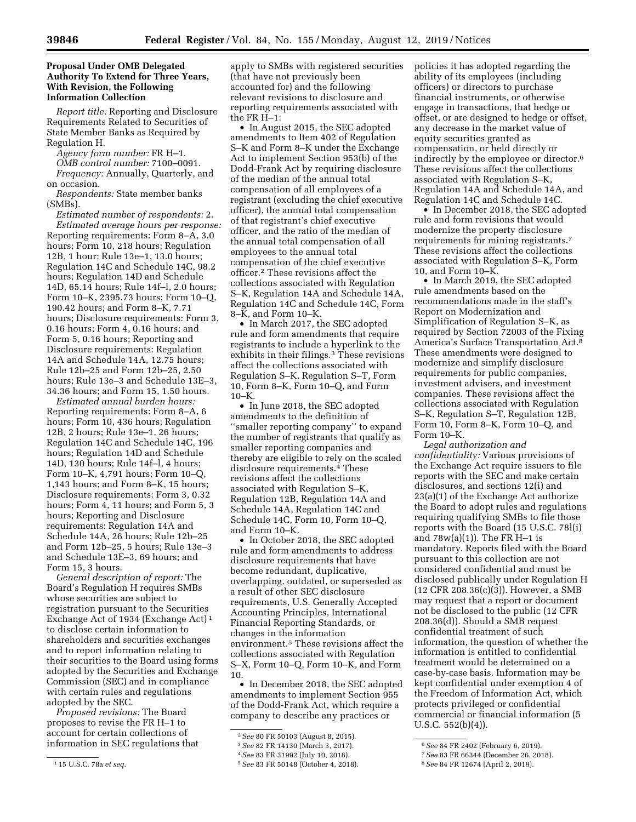## **Proposal Under OMB Delegated Authority To Extend for Three Years, With Revision, the Following Information Collection**

*Report title:* Reporting and Disclosure Requirements Related to Securities of State Member Banks as Required by Regulation H.

*Agency form number:* FR H–1.

*OMB control number:* 7100–0091. *Frequency:* Annually, Quarterly, and on occasion.

*Respondents:* State member banks (SMBs).

*Estimated number of respondents:* 2. *Estimated average hours per response:*  Reporting requirements: Form 8–A, 3.0 hours; Form 10, 218 hours; Regulation 12B, 1 hour; Rule 13e–1, 13.0 hours; Regulation 14C and Schedule 14C, 98.2 hours; Regulation 14D and Schedule 14D, 65.14 hours; Rule 14f–l, 2.0 hours; Form 10–K, 2395.73 hours; Form 10–Q, 190.42 hours; and Form 8–K, 7.71 hours; Disclosure requirements: Form 3, 0.16 hours; Form 4, 0.16 hours; and Form 5, 0.16 hours; Reporting and Disclosure requirements: Regulation 14A and Schedule 14A, 12.75 hours; Rule 12b–25 and Form 12b–25, 2.50 hours; Rule 13e–3 and Schedule 13E–3, 34.36 hours; and Form 15, 1.50 hours.

*Estimated annual burden hours:*  Reporting requirements: Form 8–A, 6 hours; Form 10, 436 hours; Regulation 12B, 2 hours; Rule 13e–1, 26 hours; Regulation 14C and Schedule 14C, 196 hours; Regulation 14D and Schedule 14D, 130 hours; Rule 14f–l, 4 hours; Form 10–K, 4,791 hours; Form 10–Q, 1,143 hours; and Form 8–K, 15 hours; Disclosure requirements: Form 3, 0.32 hours; Form 4, 11 hours; and Form 5, 3 hours; Reporting and Disclosure requirements: Regulation 14A and Schedule 14A, 26 hours; Rule 12b–25 and Form 12b–25, 5 hours; Rule 13e–3 and Schedule 13E–3, 69 hours; and Form 15, 3 hours.

*General description of report:* The Board's Regulation H requires SMBs whose securities are subject to registration pursuant to the Securities Exchange Act of 1934 (Exchange Act) 1 to disclose certain information to shareholders and securities exchanges and to report information relating to their securities to the Board using forms adopted by the Securities and Exchange Commission (SEC) and in compliance with certain rules and regulations adopted by the SEC.

*Proposed revisions:* The Board proposes to revise the FR H–1 to account for certain collections of information in SEC regulations that

1 15 U.S.C. 78a *et seq.* 

apply to SMBs with registered securities (that have not previously been accounted for) and the following relevant revisions to disclosure and reporting requirements associated with the FR H–1:

• In August 2015, the SEC adopted amendments to Item 402 of Regulation S–K and Form 8–K under the Exchange Act to implement Section 953(b) of the Dodd-Frank Act by requiring disclosure of the median of the annual total compensation of all employees of a registrant (excluding the chief executive officer), the annual total compensation of that registrant's chief executive officer, and the ratio of the median of the annual total compensation of all employees to the annual total compensation of the chief executive officer.2 These revisions affect the collections associated with Regulation S–K, Regulation 14A and Schedule 14A, Regulation 14C and Schedule 14C, Form 8–K, and Form 10–K.

• In March 2017, the SEC adopted rule and form amendments that require registrants to include a hyperlink to the exhibits in their filings.<sup>3</sup> These revisions affect the collections associated with Regulation S–K, Regulation S–T, Form 10, Form 8–K, Form 10–Q, and Form  $10–K$ .

• In June 2018, the SEC adopted amendments to the definition of ''smaller reporting company'' to expand the number of registrants that qualify as smaller reporting companies and thereby are eligible to rely on the scaled disclosure requirements.4 These revisions affect the collections associated with Regulation S–K, Regulation 12B, Regulation 14A and Schedule 14A, Regulation 14C and Schedule 14C, Form 10, Form 10–Q, and Form 10–K.

• In October 2018, the SEC adopted rule and form amendments to address disclosure requirements that have become redundant, duplicative, overlapping, outdated, or superseded as a result of other SEC disclosure requirements, U.S. Generally Accepted Accounting Principles, International Financial Reporting Standards, or changes in the information environment.5 These revisions affect the collections associated with Regulation S–X, Form 10–Q, Form 10–K, and Form 10.

• In December 2018, the SEC adopted amendments to implement Section 955 of the Dodd-Frank Act, which require a company to describe any practices or

policies it has adopted regarding the ability of its employees (including officers) or directors to purchase financial instruments, or otherwise engage in transactions, that hedge or offset, or are designed to hedge or offset, any decrease in the market value of equity securities granted as compensation, or held directly or indirectly by the employee or director.6 These revisions affect the collections associated with Regulation S–K, Regulation 14A and Schedule 14A, and Regulation 14C and Schedule 14C.

• In December 2018, the SEC adopted rule and form revisions that would modernize the property disclosure requirements for mining registrants.7 These revisions affect the collections associated with Regulation S–K, Form 10, and Form 10–K.

• In March 2019, the SEC adopted rule amendments based on the recommendations made in the staff's Report on Modernization and Simplification of Regulation S–K, as required by Section 72003 of the Fixing America's Surface Transportation Act.8 These amendments were designed to modernize and simplify disclosure requirements for public companies, investment advisers, and investment companies. These revisions affect the collections associated with Regulation S–K, Regulation S–T, Regulation 12B, Form 10, Form 8–K, Form 10–Q, and Form 10–K.

*Legal authorization and confidentiality:* Various provisions of the Exchange Act require issuers to file reports with the SEC and make certain disclosures, and sections 12(i) and 23(a)(1) of the Exchange Act authorize the Board to adopt rules and regulations requiring qualifying SMBs to file those reports with the Board (15 U.S.C. 78l(i) and  $78w(a)(1)$ . The FR H-1 is mandatory. Reports filed with the Board pursuant to this collection are not considered confidential and must be disclosed publically under Regulation H (12 CFR 208.36(c)(3)). However, a SMB may request that a report or document not be disclosed to the public (12 CFR 208.36(d)). Should a SMB request confidential treatment of such information, the question of whether the information is entitled to confidential treatment would be determined on a case-by-case basis. Information may be kept confidential under exemption 4 of the Freedom of Information Act, which protects privileged or confidential commercial or financial information (5 U.S.C. 552(b)(4)).

<sup>2</sup>*See* 80 FR 50103 (August 8, 2015).

<sup>3</sup>*See* 82 FR 14130 (March 3, 2017).

<sup>4</sup>*See* 83 FR 31992 (July 10, 2018).

<sup>5</sup>*See* 83 FR 50148 (October 4, 2018).

<sup>6</sup>*See* 84 FR 2402 (February 6, 2019).

<sup>7</sup>*See* 83 FR 66344 (December 26, 2018).

<sup>8</sup>*See* 84 FR 12674 (April 2, 2019).